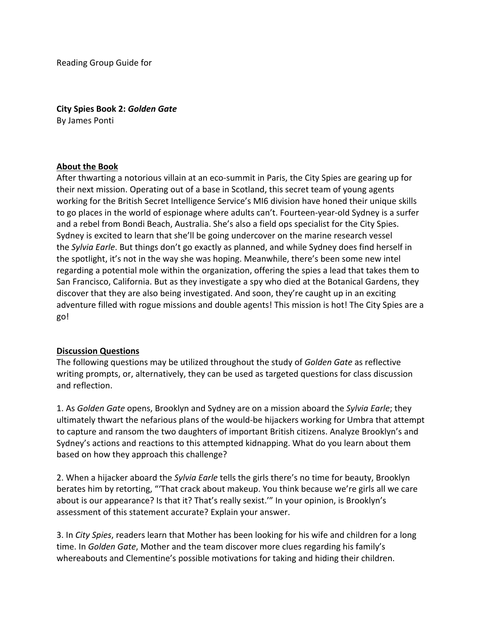Reading Group Guide for

**City Spies Book 2:** *Golden Gate* By James Ponti

# **About the Book**

After thwarting a notorious villain at an eco-summit in Paris, the City Spies are gearing up for their next mission. Operating out of a base in Scotland, this secret team of young agents working for the British Secret Intelligence Service's MI6 division have honed their unique skills to go places in the world of espionage where adults can't. Fourteen-year-old Sydney is a surfer and a rebel from Bondi Beach, Australia. She's also a field ops specialist for the City Spies. Sydney is excited to learn that she'll be going undercover on the marine research vessel the *Sylvia Earle*. But things don't go exactly as planned, and while Sydney does find herself in the spotlight, it's not in the way she was hoping. Meanwhile, there's been some new intel regarding a potential mole within the organization, offering the spies a lead that takes them to San Francisco, California. But as they investigate a spy who died at the Botanical Gardens, they discover that they are also being investigated. And soon, they're caught up in an exciting adventure filled with rogue missions and double agents! This mission is hot! The City Spies are a go!

# **Discussion Questions**

The following questions may be utilized throughout the study of *Golden Gate* as reflective writing prompts, or, alternatively, they can be used as targeted questions for class discussion and reflection.

1. As *Golden Gate* opens, Brooklyn and Sydney are on a mission aboard the *Sylvia Earle*; they ultimately thwart the nefarious plans of the would-be hijackers working for Umbra that attempt to capture and ransom the two daughters of important British citizens. Analyze Brooklyn's and Sydney's actions and reactions to this attempted kidnapping. What do you learn about them based on how they approach this challenge?

2. When a hijacker aboard the *Sylvia Earle* tells the girls there's no time for beauty, Brooklyn berates him by retorting, "'That crack about makeup. You think because we're girls all we care about is our appearance? Is that it? That's really sexist.'" In your opinion, is Brooklyn's assessment of this statement accurate? Explain your answer.

3. In *City Spies*, readers learn that Mother has been looking for his wife and children for a long time. In *Golden Gate*, Mother and the team discover more clues regarding his family's whereabouts and Clementine's possible motivations for taking and hiding their children.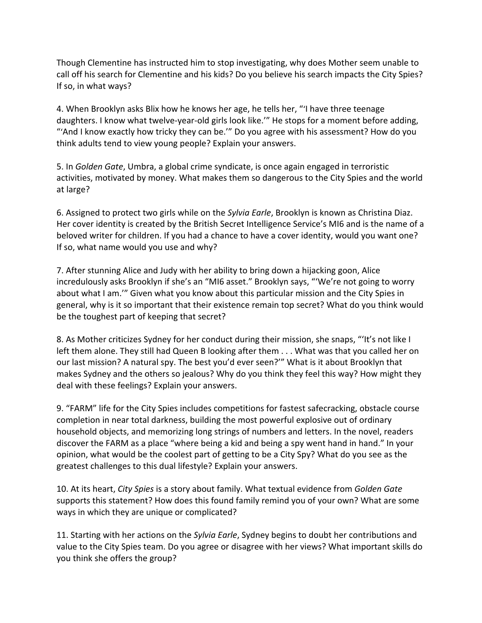Though Clementine has instructed him to stop investigating, why does Mother seem unable to call off his search for Clementine and his kids? Do you believe his search impacts the City Spies? If so, in what ways?

4. When Brooklyn asks Blix how he knows her age, he tells her, "'I have three teenage daughters. I know what twelve-year-old girls look like.'" He stops for a moment before adding, "'And I know exactly how tricky they can be.'" Do you agree with his assessment? How do you think adults tend to view young people? Explain your answers.

5. In *Golden Gate*, Umbra, a global crime syndicate, is once again engaged in terroristic activities, motivated by money. What makes them so dangerous to the City Spies and the world at large?

6. Assigned to protect two girls while on the *Sylvia Earle*, Brooklyn is known as Christina Diaz. Her cover identity is created by the British Secret Intelligence Service's MI6 and is the name of a beloved writer for children. If you had a chance to have a cover identity, would you want one? If so, what name would you use and why?

7. After stunning Alice and Judy with her ability to bring down a hijacking goon, Alice incredulously asks Brooklyn if she's an "MI6 asset." Brooklyn says, "'We're not going to worry about what I am.'" Given what you know about this particular mission and the City Spies in general, why is it so important that their existence remain top secret? What do you think would be the toughest part of keeping that secret?

8. As Mother criticizes Sydney for her conduct during their mission, she snaps, "'It's not like I left them alone. They still had Queen B looking after them . . . What was that you called her on our last mission? A natural spy. The best you'd ever seen?'" What is it about Brooklyn that makes Sydney and the others so jealous? Why do you think they feel this way? How might they deal with these feelings? Explain your answers.

9. "FARM" life for the City Spies includes competitions for fastest safecracking, obstacle course completion in near total darkness, building the most powerful explosive out of ordinary household objects, and memorizing long strings of numbers and letters. In the novel, readers discover the FARM as a place "where being a kid and being a spy went hand in hand." In your opinion, what would be the coolest part of getting to be a City Spy? What do you see as the greatest challenges to this dual lifestyle? Explain your answers.

10. At its heart, *City Spies* is a story about family. What textual evidence from *Golden Gate* supports this statement? How does this found family remind you of your own? What are some ways in which they are unique or complicated?

11. Starting with her actions on the *Sylvia Earle*, Sydney begins to doubt her contributions and value to the City Spies team. Do you agree or disagree with her views? What important skills do you think she offers the group?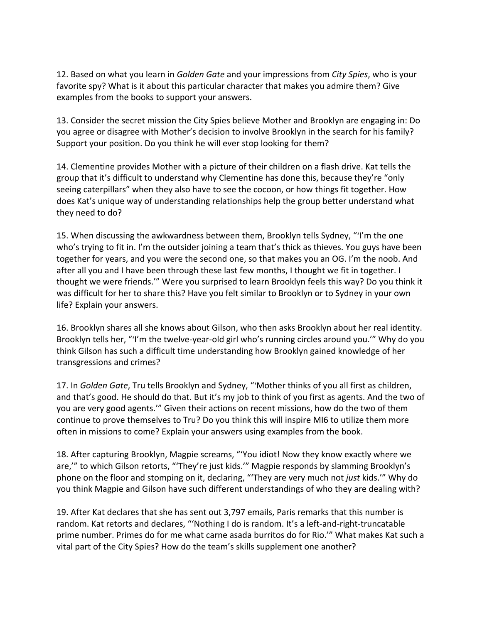12. Based on what you learn in *Golden Gate* and your impressions from *City Spies*, who is your favorite spy? What is it about this particular character that makes you admire them? Give examples from the books to support your answers.

13. Consider the secret mission the City Spies believe Mother and Brooklyn are engaging in: Do you agree or disagree with Mother's decision to involve Brooklyn in the search for his family? Support your position. Do you think he will ever stop looking for them?

14. Clementine provides Mother with a picture of their children on a flash drive. Kat tells the group that it's difficult to understand why Clementine has done this, because they're "only seeing caterpillars" when they also have to see the cocoon, or how things fit together. How does Kat's unique way of understanding relationships help the group better understand what they need to do?

15. When discussing the awkwardness between them, Brooklyn tells Sydney, "'I'm the one who's trying to fit in. I'm the outsider joining a team that's thick as thieves. You guys have been together for years, and you were the second one, so that makes you an OG. I'm the noob. And after all you and I have been through these last few months, I thought we fit in together. I thought we were friends.'" Were you surprised to learn Brooklyn feels this way? Do you think it was difficult for her to share this? Have you felt similar to Brooklyn or to Sydney in your own life? Explain your answers.

16. Brooklyn shares all she knows about Gilson, who then asks Brooklyn about her real identity. Brooklyn tells her, "'I'm the twelve-year-old girl who's running circles around you.'" Why do you think Gilson has such a difficult time understanding how Brooklyn gained knowledge of her transgressions and crimes?

17. In *Golden Gate*, Tru tells Brooklyn and Sydney, "'Mother thinks of you all first as children, and that's good. He should do that. But it's my job to think of you first as agents. And the two of you are very good agents.'" Given their actions on recent missions, how do the two of them continue to prove themselves to Tru? Do you think this will inspire MI6 to utilize them more often in missions to come? Explain your answers using examples from the book.

18. After capturing Brooklyn, Magpie screams, "'You idiot! Now they know exactly where we are,'" to which Gilson retorts, "'They're just kids.'" Magpie responds by slamming Brooklyn's phone on the floor and stomping on it, declaring, "'They are very much not *just* kids.'" Why do you think Magpie and Gilson have such different understandings of who they are dealing with?

19. After Kat declares that she has sent out 3,797 emails, Paris remarks that this number is random. Kat retorts and declares, "'Nothing I do is random. It's a left-and-right-truncatable prime number. Primes do for me what carne asada burritos do for Rio.'" What makes Kat such a vital part of the City Spies? How do the team's skills supplement one another?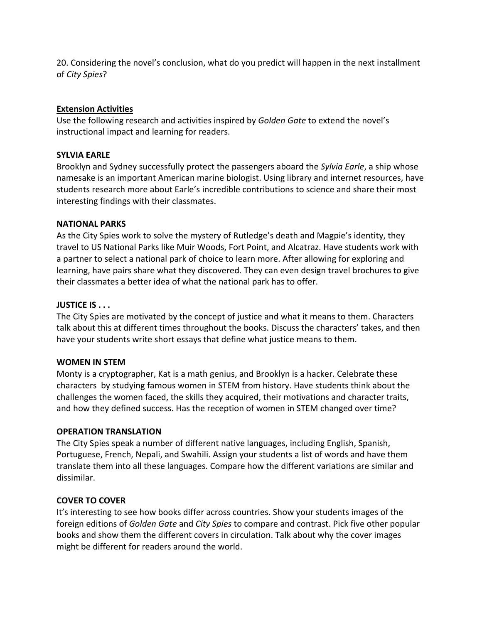20. Considering the novel's conclusion, what do you predict will happen in the next installment of *City Spies*?

## **Extension Activities**

Use the following research and activities inspired by *Golden Gate* to extend the novel's instructional impact and learning for readers.

## **SYLVIA EARLE**

Brooklyn and Sydney successfully protect the passengers aboard the *Sylvia Earle*, a ship whose namesake is an important American marine biologist. Using library and internet resources, have students research more about Earle's incredible contributions to science and share their most interesting findings with their classmates.

### **NATIONAL PARKS**

As the City Spies work to solve the mystery of Rutledge's death and Magpie's identity, they travel to US National Parks like Muir Woods, Fort Point, and Alcatraz. Have students work with a partner to select a national park of choice to learn more. After allowing for exploring and learning, have pairs share what they discovered. They can even design travel brochures to give their classmates a better idea of what the national park has to offer.

# **JUSTICE IS . . .**

The City Spies are motivated by the concept of justice and what it means to them. Characters talk about this at different times throughout the books. Discuss the characters' takes, and then have your students write short essays that define what justice means to them.

#### **WOMEN IN STEM**

Monty is a cryptographer, Kat is a math genius, and Brooklyn is a hacker. Celebrate these characters by studying famous women in STEM from history. Have students think about the challenges the women faced, the skills they acquired, their motivations and character traits, and how they defined success. Has the reception of women in STEM changed over time?

#### **OPERATION TRANSLATION**

The City Spies speak a number of different native languages, including English, Spanish, Portuguese, French, Nepali, and Swahili. Assign your students a list of words and have them translate them into all these languages. Compare how the different variations are similar and dissimilar.

#### **COVER TO COVER**

It's interesting to see how books differ across countries. Show your students images of the foreign editions of *Golden Gate* and *City Spies* to compare and contrast. Pick five other popular books and show them the different covers in circulation. Talk about why the cover images might be different for readers around the world.